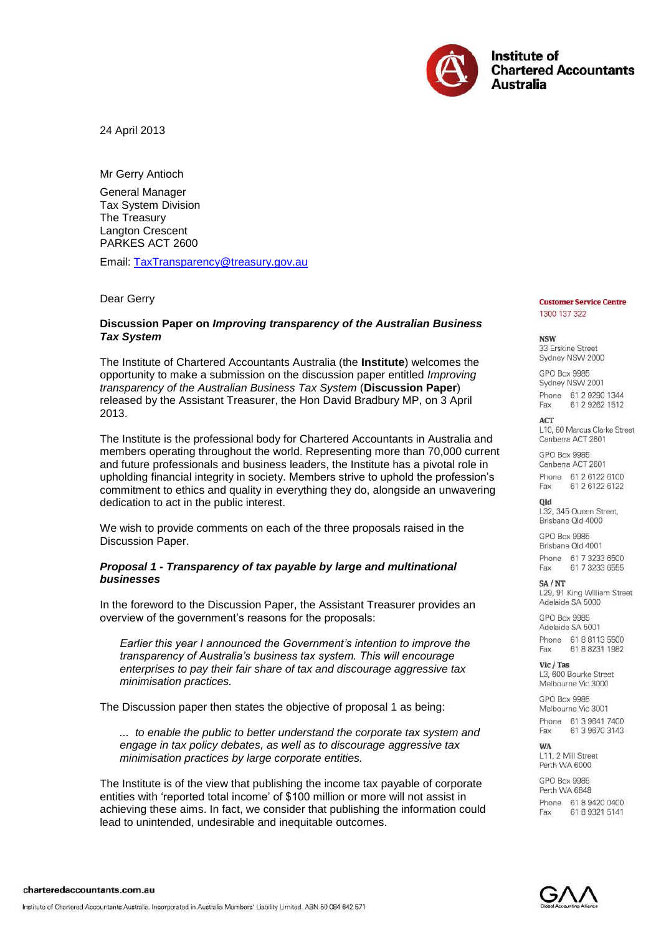

24 April 2013

Mr Gerry Antioch

General Manager Tax System Division The Treasury Langton Crescent PARKES ACT 2600

Email: [TaxTransparency@treasury.gov.au](mailto:TaxTransparency@treasury.gov.au?subject=Submission%20to%20Discussion%20Paper%20-%20Improving%20the%20transparency%20of%20Australia’s%20business%20tax%20system)

Dear Gerry

#### **Discussion Paper on** *Improving transparency of the Australian Business Tax System*

The Institute of Chartered Accountants Australia (the **Institute**) welcomes the opportunity to make a submission on the discussion paper entitled *Improving transparency of the Australian Business Tax System* (**Discussion Paper**) released by the Assistant Treasurer, the Hon David Bradbury MP, on 3 April 2013.

The Institute is the professional body for Chartered Accountants in Australia and members operating throughout the world. Representing more than 70,000 current and future professionals and business leaders, the Institute has a pivotal role in upholding financial integrity in society. Members strive to uphold the profession's commitment to ethics and quality in everything they do, alongside an unwavering dedication to act in the public interest.

We wish to provide comments on each of the three proposals raised in the Discussion Paper.

#### *Proposal 1 - Transparency of tax payable by large and multinational businesses*

In the foreword to the Discussion Paper, the Assistant Treasurer provides an overview of the government's reasons for the proposals:

*Earlier this year I announced the Government's intention to improve the transparency of Australia's business tax system. This will encourage enterprises to pay their fair share of tax and discourage aggressive tax minimisation practices.*

The Discussion paper then states the objective of proposal 1 as being:

*... to enable the public to better understand the corporate tax system and engage in tax policy debates, as well as to discourage aggressive tax minimisation practices by large corporate entities.* 

The Institute is of the view that publishing the income tax payable of corporate entities with 'reported total income' of \$100 million or more will not assist in achieving these aims. In fact, we consider that publishing the information could lead to unintended, undesirable and inequitable outcomes.

#### **Customer Service Centre** 1300 137 322

**NISTAL** 33 Frskine Street Sydney NSW 2000

**GPO Box 9985** Sydney NSW 2001 Phone 61 2 9290 1344 Fax 61 2 9262 1512

**ACT** L10, 60 Marcus Clarke Street Canberra ACT 2601

GPO Box 9985 Canberra ACT 2601 Phone 61 2 6122 6100 Fax 61 2 6122 6122

old

L32, 345 Queen Street, Brisbane Old 4000

**GPO Box 9985** Brisbane Old 4001 Phone 61 7 3233 6500

61 7 3233 6555 Fax SA/NT L29, 91 King William Street Adelaide SA 5000

GPO Box 9985 Adelaide SA 5001 Phone 61 8 8113 5500

Fax 61 8 8231 1982 Vic / Tas L3, 600 Bourke Street

Melbourne Vic 3000

**GPO Box 9985** Melbourne Vic 3001 Phone 61 3 9641 7400 61 3 9670 3143 Fax

WA L11, 2 Mill Street Perth WA 6000

**GPO Box 9985** Perth WA 6848 Phone 61 8 9420 0400 61 8 9321 5141 Fay

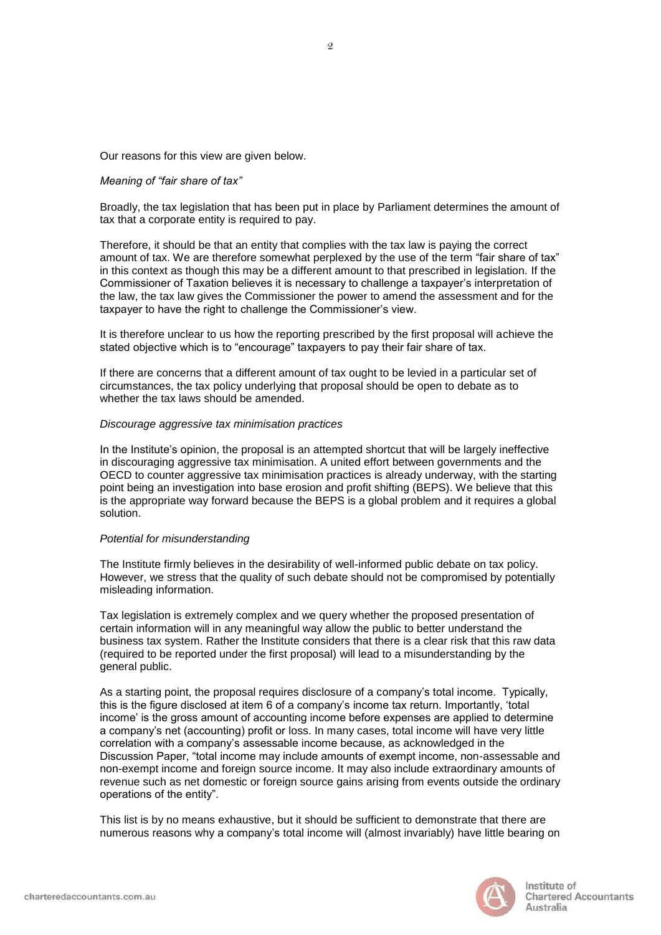Our reasons for this view are given below.

# *Meaning of "fair share of tax"*

Broadly, the tax legislation that has been put in place by Parliament determines the amount of tax that a corporate entity is required to pay.

Therefore, it should be that an entity that complies with the tax law is paying the correct amount of tax. We are therefore somewhat perplexed by the use of the term "fair share of tax" in this context as though this may be a different amount to that prescribed in legislation. If the Commissioner of Taxation believes it is necessary to challenge a taxpayer's interpretation of the law, the tax law gives the Commissioner the power to amend the assessment and for the taxpayer to have the right to challenge the Commissioner's view.

It is therefore unclear to us how the reporting prescribed by the first proposal will achieve the stated objective which is to "encourage" taxpayers to pay their fair share of tax.

If there are concerns that a different amount of tax ought to be levied in a particular set of circumstances, the tax policy underlying that proposal should be open to debate as to whether the tax laws should be amended.

#### *Discourage aggressive tax minimisation practices*

In the Institute's opinion, the proposal is an attempted shortcut that will be largely ineffective in discouraging aggressive tax minimisation. A united effort between governments and the OECD to counter aggressive tax minimisation practices is already underway, with the starting point being an investigation into base erosion and profit shifting (BEPS). We believe that this is the appropriate way forward because the BEPS is a global problem and it requires a global solution.

#### *Potential for misunderstanding*

The Institute firmly believes in the desirability of well-informed public debate on tax policy. However, we stress that the quality of such debate should not be compromised by potentially misleading information.

Tax legislation is extremely complex and we query whether the proposed presentation of certain information will in any meaningful way allow the public to better understand the business tax system. Rather the Institute considers that there is a clear risk that this raw data (required to be reported under the first proposal) will lead to a misunderstanding by the general public.

As a starting point, the proposal requires disclosure of a company's total income. Typically, this is the figure disclosed at item 6 of a company's income tax return. Importantly, 'total income' is the gross amount of accounting income before expenses are applied to determine a company's net (accounting) profit or loss. In many cases, total income will have very little correlation with a company's assessable income because, as acknowledged in the Discussion Paper, "total income may include amounts of exempt income, non-assessable and non-exempt income and foreign source income. It may also include extraordinary amounts of revenue such as net domestic or foreign source gains arising from events outside the ordinary operations of the entity".

This list is by no means exhaustive, but it should be sufficient to demonstrate that there are numerous reasons why a company's total income will (almost invariably) have little bearing on



Institute of **Chartered Accountants** Australia

2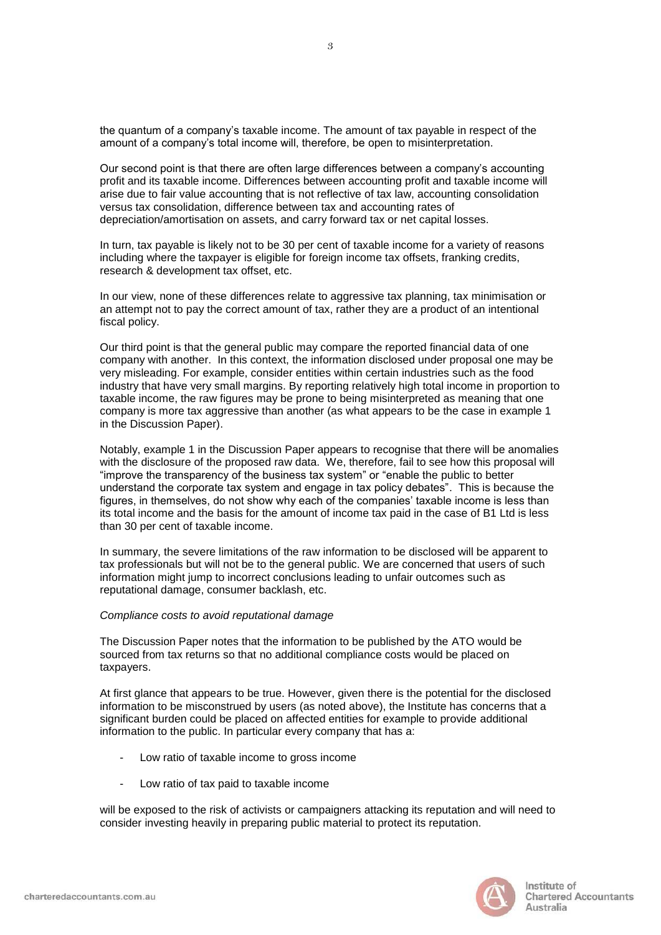the quantum of a company's taxable income. The amount of tax payable in respect of the amount of a company's total income will, therefore, be open to misinterpretation.

Our second point is that there are often large differences between a company's accounting profit and its taxable income. Differences between accounting profit and taxable income will arise due to fair value accounting that is not reflective of tax law, accounting consolidation versus tax consolidation, difference between tax and accounting rates of depreciation/amortisation on assets, and carry forward tax or net capital losses.

In turn, tax payable is likely not to be 30 per cent of taxable income for a variety of reasons including where the taxpayer is eligible for foreign income tax offsets, franking credits, research & development tax offset, etc.

In our view, none of these differences relate to aggressive tax planning, tax minimisation or an attempt not to pay the correct amount of tax, rather they are a product of an intentional fiscal policy.

Our third point is that the general public may compare the reported financial data of one company with another. In this context, the information disclosed under proposal one may be very misleading. For example, consider entities within certain industries such as the food industry that have very small margins. By reporting relatively high total income in proportion to taxable income, the raw figures may be prone to being misinterpreted as meaning that one company is more tax aggressive than another (as what appears to be the case in example 1 in the Discussion Paper).

Notably, example 1 in the Discussion Paper appears to recognise that there will be anomalies with the disclosure of the proposed raw data. We, therefore, fail to see how this proposal will "improve the transparency of the business tax system" or "enable the public to better understand the corporate tax system and engage in tax policy debates". This is because the figures, in themselves, do not show why each of the companies' taxable income is less than its total income and the basis for the amount of income tax paid in the case of B1 Ltd is less than 30 per cent of taxable income.

In summary, the severe limitations of the raw information to be disclosed will be apparent to tax professionals but will not be to the general public. We are concerned that users of such information might jump to incorrect conclusions leading to unfair outcomes such as reputational damage, consumer backlash, etc.

# *Compliance costs to avoid reputational damage*

The Discussion Paper notes that the information to be published by the ATO would be sourced from tax returns so that no additional compliance costs would be placed on taxpayers.

At first glance that appears to be true. However, given there is the potential for the disclosed information to be misconstrued by users (as noted above), the Institute has concerns that a significant burden could be placed on affected entities for example to provide additional information to the public. In particular every company that has a:

- Low ratio of taxable income to gross income
- Low ratio of tax paid to taxable income

will be exposed to the risk of activists or campaigners attacking its reputation and will need to consider investing heavily in preparing public material to protect its reputation.

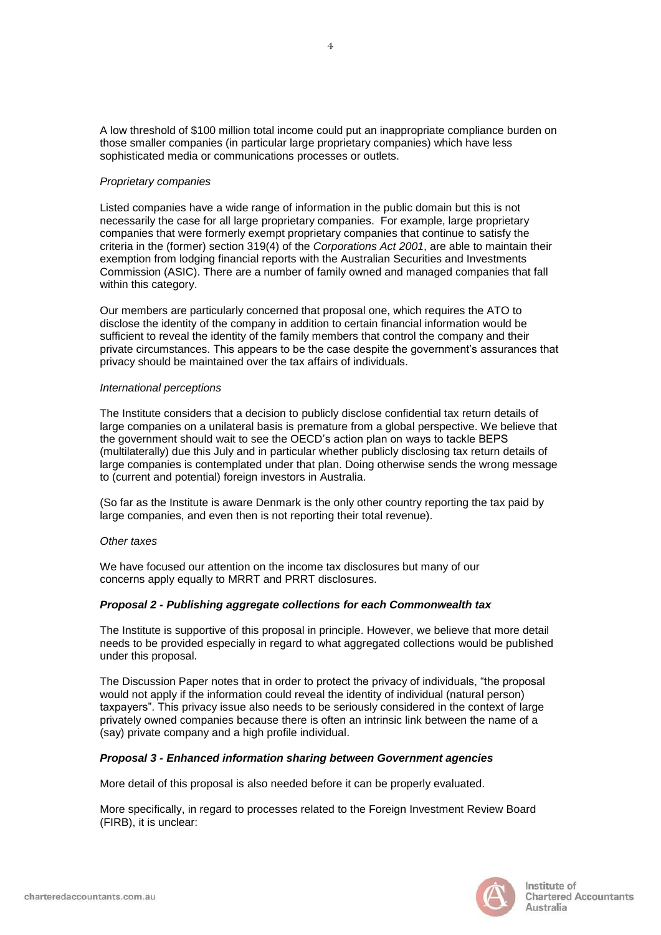A low threshold of \$100 million total income could put an inappropriate compliance burden on those smaller companies (in particular large proprietary companies) which have less sophisticated media or communications processes or outlets.

# *Proprietary companies*

Listed companies have a wide range of information in the public domain but this is not necessarily the case for all large proprietary companies. For example, large proprietary companies that were formerly exempt proprietary companies that continue to satisfy the criteria in the (former) section 319(4) of the *Corporations Act 2001*, are able to maintain their exemption from lodging financial reports with the Australian Securities and Investments Commission (ASIC). There are a number of family owned and managed companies that fall within this category.

Our members are particularly concerned that proposal one, which requires the ATO to disclose the identity of the company in addition to certain financial information would be sufficient to reveal the identity of the family members that control the company and their private circumstances. This appears to be the case despite the government's assurances that privacy should be maintained over the tax affairs of individuals.

#### *International perceptions*

The Institute considers that a decision to publicly disclose confidential tax return details of large companies on a unilateral basis is premature from a global perspective. We believe that the government should wait to see the OECD's action plan on ways to tackle BEPS (multilaterally) due this July and in particular whether publicly disclosing tax return details of large companies is contemplated under that plan. Doing otherwise sends the wrong message to (current and potential) foreign investors in Australia.

(So far as the Institute is aware Denmark is the only other country reporting the tax paid by large companies, and even then is not reporting their total revenue).

# *Other taxes*

We have focused our attention on the income tax disclosures but many of our concerns apply equally to MRRT and PRRT disclosures.

# *Proposal 2 - Publishing aggregate collections for each Commonwealth tax*

The Institute is supportive of this proposal in principle. However, we believe that more detail needs to be provided especially in regard to what aggregated collections would be published under this proposal.

The Discussion Paper notes that in order to protect the privacy of individuals, "the proposal would not apply if the information could reveal the identity of individual (natural person) taxpayers". This privacy issue also needs to be seriously considered in the context of large privately owned companies because there is often an intrinsic link between the name of a (say) private company and a high profile individual.

# *Proposal 3 - Enhanced information sharing between Government agencies*

More detail of this proposal is also needed before it can be properly evaluated.

More specifically, in regard to processes related to the Foreign Investment Review Board (FIRB), it is unclear:

4